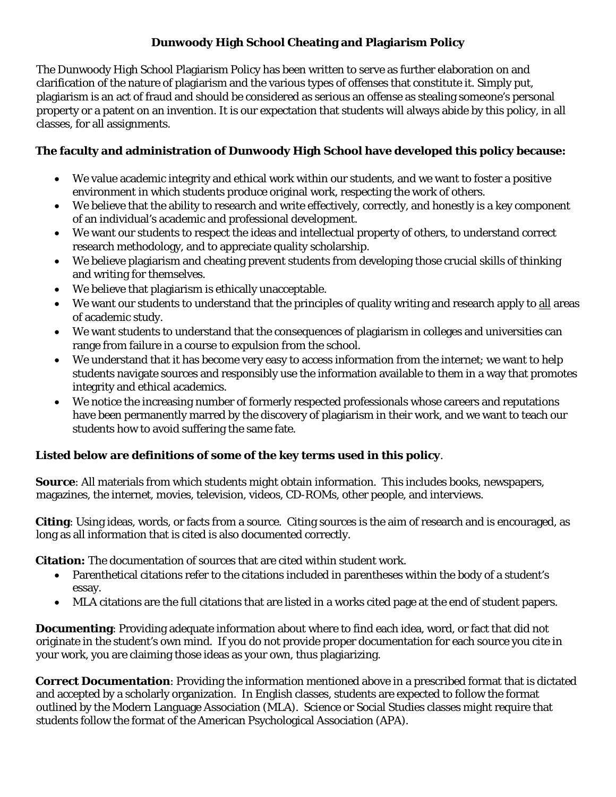# **Dunwoody High School Cheating and Plagiarism Policy**

The Dunwoody High School Plagiarism Policy has been written to serve as further elaboration on and clarification of the nature of plagiarism and the various types of offenses that constitute it. Simply put, plagiarism is an act of fraud and should be considered as serious an offense as stealing someone's personal property or a patent on an invention. It is our expectation that students will always abide by this policy, in all classes, for all assignments.

#### **The faculty and administration of Dunwoody High School have developed this policy because:**

- We value academic integrity and ethical work within our students, and we want to foster a positive environment in which students produce original work, respecting the work of others.
- We believe that the ability to research and write effectively, correctly, and honestly is a key component of an individual's academic and professional development.
- We want our students to respect the ideas and intellectual property of others, to understand correct research methodology, and to appreciate quality scholarship.
- We believe plagiarism and cheating prevent students from developing those crucial skills of thinking and writing for themselves.
- We believe that plagiarism is ethically unacceptable.
- We want our students to understand that the principles of quality writing and research apply to all areas of academic study.
- We want students to understand that the consequences of plagiarism in colleges and universities can range from failure in a course to expulsion from the school.
- We understand that it has become very easy to access information from the internet; we want to help students navigate sources and responsibly use the information available to them in a way that promotes integrity and ethical academics.
- We notice the increasing number of formerly respected professionals whose careers and reputations have been permanently marred by the discovery of plagiarism in their work, and we want to teach our students how to avoid suffering the same fate.

# **Listed below are definitions of some of the key terms used in this policy**.

**Source**: All materials from which students might obtain information. This includes books, newspapers, magazines, the internet, movies, television, videos, CD-ROMs, other people, and interviews.

**Citing**: Using ideas, words, or facts from a source. Citing sources is the aim of research and is encouraged, as long as all information that is cited is also documented correctly.

**Citation:** The documentation of sources that are cited within student work.

- Parenthetical citations refer to the citations included in parentheses within the body of a student's essay.
- MLA citations are the full citations that are listed in a works cited page at the end of student papers.

**Documenting**: Providing adequate information about where to find each idea, word, or fact that did not originate in the student's own mind. If you do not provide proper documentation for each source you cite in your work, you are claiming those ideas as your own, thus plagiarizing.

**Correct Documentation**: Providing the information mentioned above in a prescribed format that is dictated and accepted by a scholarly organization. In English classes, students are expected to follow the format outlined by the Modern Language Association (MLA). Science or Social Studies classes might require that students follow the format of the American Psychological Association (APA).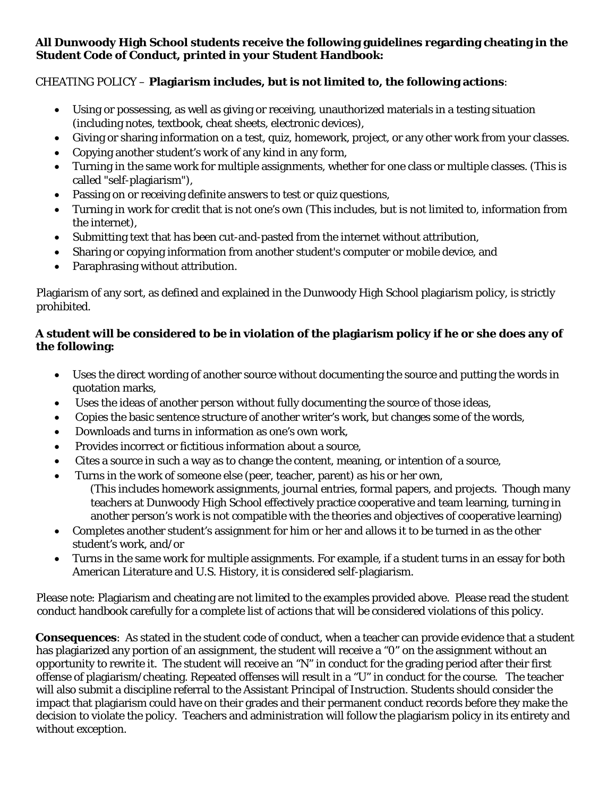#### **All Dunwoody High School students receive the following guidelines regarding cheating in the Student Code of Conduct, printed in your Student Handbook:**

### CHEATING POLICY – **Plagiarism includes, but is not limited to, the following actions**:

- Using or possessing, as well as giving or receiving, unauthorized materials in a testing situation (including notes, textbook, cheat sheets, electronic devices),
- Giving or sharing information on a test, quiz, homework, project, or any other work from your classes.
- Copying another student's work of any kind in any form,
- Turning in the same work for multiple assignments, whether for one class or multiple classes. (This is called "self-plagiarism"),
- Passing on or receiving definite answers to test or quiz questions,
- Turning in work for credit that is not one's own (This includes, but is not limited to, information from the internet),
- Submitting text that has been cut-and-pasted from the internet without attribution,
- Sharing or copying information from another student's computer or mobile device, and
- Paraphrasing without attribution.

Plagiarism of any sort, as defined and explained in the Dunwoody High School plagiarism policy, is strictly prohibited.

### **A student will be considered to be in violation of the plagiarism policy if he or she does any of the following:**

- Uses the direct wording of another source without documenting the source and putting the words in quotation marks,
- Uses the ideas of another person without fully documenting the source of those ideas,
- Copies the basic sentence structure of another writer's work, but changes some of the words,
- Downloads and turns in information as one's own work,
- Provides incorrect or fictitious information about a source,
- Cites a source in such a way as to change the content, meaning, or intention of a source,
- Turns in the work of someone else (peer, teacher, parent) as his or her own,
	- (This includes homework assignments, journal entries, formal papers, and projects. Though many teachers at Dunwoody High School effectively practice cooperative and team learning, turning in another person's work is not compatible with the theories and objectives of cooperative learning)
- Completes another student's assignment for him or her and allows it to be turned in as the other student's work, and/or
- Turns in the same work for multiple assignments. For example, if a student turns in an essay for both American Literature and U.S. History, it is considered self-plagiarism.

Please note: Plagiarism and cheating are not limited to the examples provided above. Please read the student conduct handbook carefully for a complete list of actions that will be considered violations of this policy.

**Consequences**: As stated in the student code of conduct, when a teacher can provide evidence that a student has plagiarized any portion of an assignment, the student will receive a "0" on the assignment without an opportunity to rewrite it. The student will receive an "N" in conduct for the grading period after their first offense of plagiarism/cheating. Repeated offenses will result in a "U" in conduct for the course. The teacher will also submit a discipline referral to the Assistant Principal of Instruction. Students should consider the impact that plagiarism could have on their grades and their permanent conduct records before they make the decision to violate the policy. Teachers and administration will follow the plagiarism policy in its entirety and without exception.